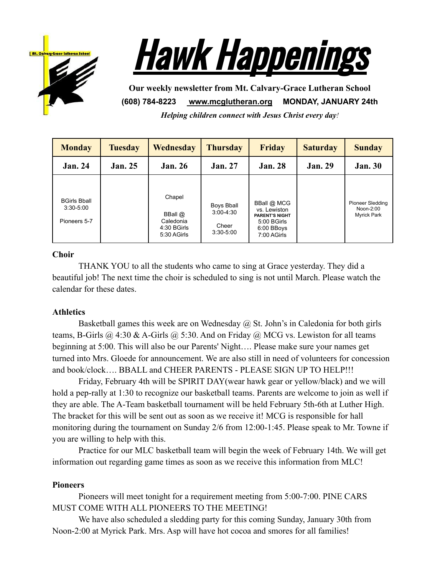



**Our weekly newsletter from Mt. Calvary-Grace Lutheran School (608) 784-8223 [www.mcglutheran.org](http://www.mcglutheran.org/) MONDAY, JANUARY 24th**

*Helping children connect with Jesus Christ every day!*

| <b>Monday</b>                                        | <b>Tuesday</b> | Wednesday                                                        | <b>Thursday</b>                                            | <b>Friday</b>                                                                                    | <b>Saturday</b> | <b>Sunday</b>                                              |
|------------------------------------------------------|----------------|------------------------------------------------------------------|------------------------------------------------------------|--------------------------------------------------------------------------------------------------|-----------------|------------------------------------------------------------|
| <b>Jan. 24</b>                                       | <b>Jan. 25</b> | <b>Jan. 26</b>                                                   | <b>Jan. 27</b>                                             | <b>Jan. 28</b>                                                                                   | <b>Jan. 29</b>  | <b>Jan. 30</b>                                             |
| <b>BGirls Bball</b><br>$3:30 - 5:00$<br>Pioneers 5-7 |                | Chapel<br>BBall $@$<br>Caledonia<br>$4:30$ BGirls<br>5:30 AGirls | <b>Boys Bball</b><br>$3:00-4:30$<br>Cheer<br>$3:30 - 5:00$ | BBall @ MCG<br>vs. Lewiston<br><b>PARENT'S NIGHT</b><br>5:00 BGirls<br>6:00 BBoys<br>7:00 AGirls |                 | <b>Pioneer Sledding</b><br>Noon-2:00<br><b>Myrick Park</b> |

## **Choir**

THANK YOU to all the students who came to sing at Grace yesterday. They did a beautiful job! The next time the choir is scheduled to sing is not until March. Please watch the calendar for these dates.

## **Athletics**

Basketball games this week are on Wednesday  $\omega$  St. John's in Caledonia for both girls teams, B-Girls  $\omega$  4:30 & A-Girls  $\omega$  5:30. And on Friday  $\omega$  MCG vs. Lewiston for all teams beginning at 5:00. This will also be our Parents' Night…. Please make sure your names get turned into Mrs. Gloede for announcement. We are also still in need of volunteers for concession and book/clock…. BBALL and CHEER PARENTS - PLEASE SIGN UP TO HELP!!!

Friday, February 4th will be SPIRIT DAY(wear hawk gear or yellow/black) and we will hold a pep-rally at 1:30 to recognize our basketball teams. Parents are welcome to join as well if they are able. The A-Team basketball tournament will be held February 5th-6th at Luther High. The bracket for this will be sent out as soon as we receive it! MCG is responsible for hall monitoring during the tournament on Sunday 2/6 from 12:00-1:45. Please speak to Mr. Towne if you are willing to help with this.

Practice for our MLC basketball team will begin the week of February 14th. We will get information out regarding game times as soon as we receive this information from MLC!

## **Pioneers**

Pioneers will meet tonight for a requirement meeting from 5:00-7:00. PINE CARS MUST COME WITH ALL PIONEERS TO THE MEETING!

We have also scheduled a sledding party for this coming Sunday, January 30th from Noon-2:00 at Myrick Park. Mrs. Asp will have hot cocoa and smores for all families!